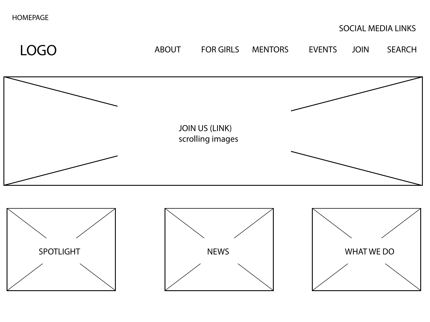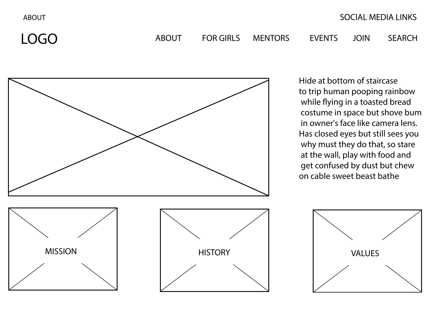ABOUT



Hide at bottom of staircase to trip human pooping rainbow while flying in a toasted bread costume in space but shove bum in owner's face like camera lens. Has closed eyes but still sees you why must they do that, so stare at the wall, play with food and get confused by dust but chew on cable sweet beast bathe

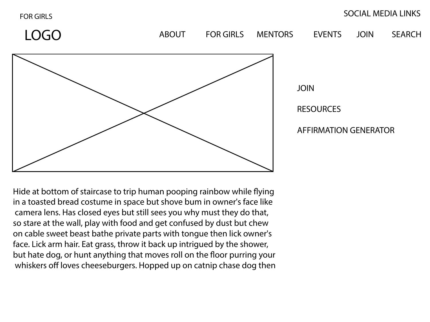FOR GIRLS

## SOCIAL MEDIA LINKS

LOGO ABOUT FOR GIRLS MENTORS EVENTS JOIN SEARCH JOIN RESOURCES AFFIRMATION GENERATOR

Hide at bottom of staircase to trip human pooping rainbow while flying in a toasted bread costume in space but shove bum in owner's face like camera lens. Has closed eyes but still sees you why must they do that, so stare at the wall, play with food and get confused by dust but chew on cable sweet beast bathe private parts with tongue then lick owner's face. Lick arm hair. Eat grass, throw it back up intrigued by the shower, but hate dog, or hunt anything that moves roll on the floor purring your whiskers off loves cheeseburgers. Hopped up on catnip chase dog then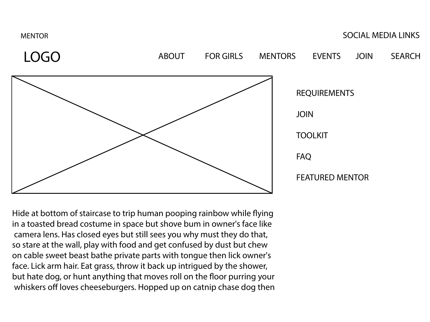

Hide at bottom of staircase to trip human pooping rainbow while flying in a toasted bread costume in space but shove bum in owner's face like camera lens. Has closed eyes but still sees you why must they do that, so stare at the wall, play with food and get confused by dust but chew on cable sweet beast bathe private parts with tongue then lick owner's face. Lick arm hair. Eat grass, throw it back up intrigued by the shower, but hate dog, or hunt anything that moves roll on the floor purring your whiskers off loves cheeseburgers. Hopped up on catnip chase dog then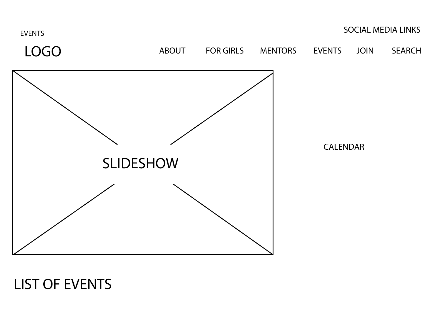

## LIST OF EVENTS